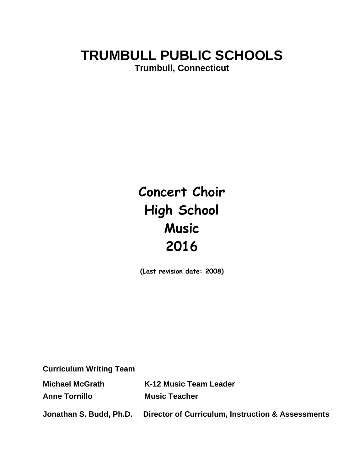# **TRUMBULL PUBLIC SCHOOLS Trumbull, Connecticut**

# **Concert Choir High School Music 2016**

**(Last revision date: 2008)**

**Curriculum Writing Team**

**Michael McGrath K-12 Music Team Leader**

**Anne Tornillo Music Teacher**

**Jonathan S. Budd, Ph.D. Director of Curriculum, Instruction & Assessments**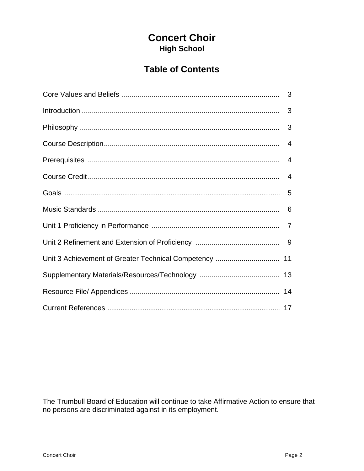# **Concert Choir High School**

# **Table of Contents**

| 3              |
|----------------|
| 3              |
|                |
| $\overline{4}$ |
|                |
|                |
|                |
| 6              |
|                |
|                |
|                |
|                |
|                |
|                |

The Trumbull Board of Education will continue to take Affirmative Action to ensure that no persons are discriminated against in its employment.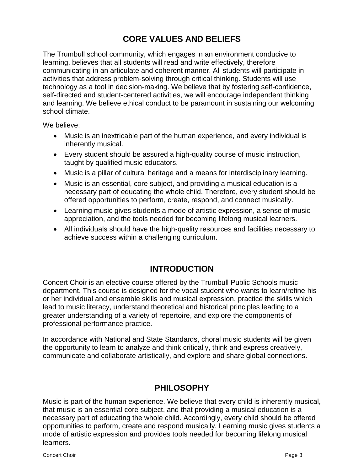# **CORE VALUES AND BELIEFS**

The Trumbull school community, which engages in an environment conducive to learning, believes that all students will read and write effectively, therefore communicating in an articulate and coherent manner. All students will participate in activities that address problem-solving through critical thinking. Students will use technology as a tool in decision-making. We believe that by fostering self-confidence, self-directed and student-centered activities, we will encourage independent thinking and learning. We believe ethical conduct to be paramount in sustaining our welcoming school climate.

We believe:

- Music is an inextricable part of the human experience, and every individual is inherently musical.
- Every student should be assured a high-quality course of music instruction, taught by qualified music educators.
- Music is a pillar of cultural heritage and a means for interdisciplinary learning.
- Music is an essential, core subject, and providing a musical education is a necessary part of educating the whole child. Therefore, every student should be offered opportunities to perform, create, respond, and connect musically.
- Learning music gives students a mode of artistic expression, a sense of music appreciation, and the tools needed for becoming lifelong musical learners.
- All individuals should have the high-quality resources and facilities necessary to achieve success within a challenging curriculum.

# **INTRODUCTION**

Concert Choir is an elective course offered by the Trumbull Public Schools music department. This course is designed for the vocal student who wants to learn/refine his or her individual and ensemble skills and musical expression, practice the skills which lead to music literacy, understand theoretical and historical principles leading to a greater understanding of a variety of repertoire, and explore the components of professional performance practice.

In accordance with National and State Standards, choral music students will be given the opportunity to learn to analyze and think critically, think and express creatively, communicate and collaborate artistically, and explore and share global connections.

# **PHILOSOPHY**

Music is part of the human experience. We believe that every child is inherently musical, that music is an essential core subject, and that providing a musical education is a necessary part of educating the whole child. Accordingly, every child should be offered opportunities to perform, create and respond musically. Learning music gives students a mode of artistic expression and provides tools needed for becoming lifelong musical learners.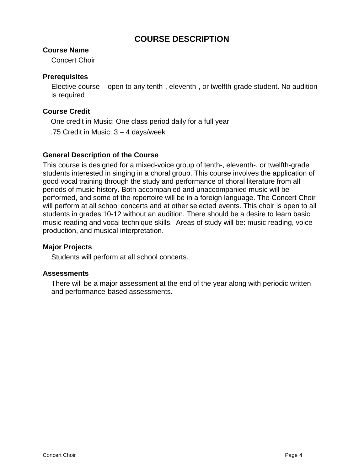# **COURSE DESCRIPTION**

#### **Course Name**

Concert Choir

#### **Prerequisites**

Elective course – open to any tenth-, eleventh-, or twelfth-grade student. No audition is required

#### **Course Credit**

One credit in Music: One class period daily for a full year

.75 Credit in Music: 3 – 4 days/week

#### **General Description of the Course**

This course is designed for a mixed-voice group of tenth-, eleventh-, or twelfth-grade students interested in singing in a choral group. This course involves the application of good vocal training through the study and performance of choral literature from all periods of music history. Both accompanied and unaccompanied music will be performed, and some of the repertoire will be in a foreign language. The Concert Choir will perform at all school concerts and at other selected events. This choir is open to all students in grades 10-12 without an audition. There should be a desire to learn basic music reading and vocal technique skills. Areas of study will be: music reading, voice production, and musical interpretation.

#### **Major Projects**

Students will perform at all school concerts.

#### **Assessments**

There will be a major assessment at the end of the year along with periodic written and performance-based assessments.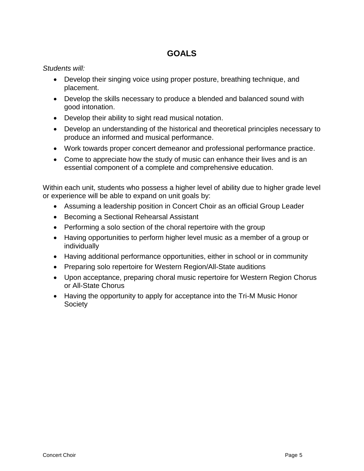# **GOALS**

#### *Students will:*

- Develop their singing voice using proper posture, breathing technique, and placement.
- Develop the skills necessary to produce a blended and balanced sound with good intonation.
- Develop their ability to sight read musical notation.
- Develop an understanding of the historical and theoretical principles necessary to produce an informed and musical performance.
- Work towards proper concert demeanor and professional performance practice.
- Come to appreciate how the study of music can enhance their lives and is an essential component of a complete and comprehensive education.

Within each unit, students who possess a higher level of ability due to higher grade level or experience will be able to expand on unit goals by:

- Assuming a leadership position in Concert Choir as an official Group Leader
- Becoming a Sectional Rehearsal Assistant
- Performing a solo section of the choral repertoire with the group
- Having opportunities to perform higher level music as a member of a group or individually
- Having additional performance opportunities, either in school or in community
- Preparing solo repertoire for Western Region/All-State auditions
- Upon acceptance, preparing choral music repertoire for Western Region Chorus or All-State Chorus
- Having the opportunity to apply for acceptance into the Tri-M Music Honor **Society**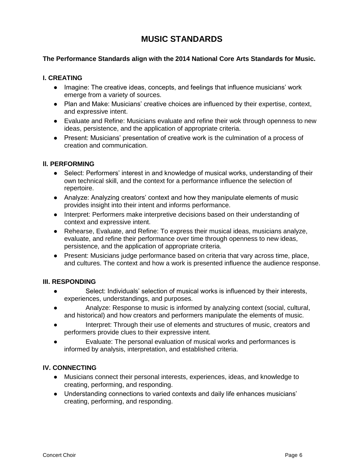# **MUSIC STANDARDS**

#### **The Performance Standards align with the 2014 National Core Arts Standards for Music.**

#### **I. CREATING**

- Imagine: The creative ideas, concepts, and feelings that influence musicians' work emerge from a variety of sources.
- Plan and Make: Musicians' creative choices are influenced by their expertise, context, and expressive intent.
- Evaluate and Refine: Musicians evaluate and refine their wok through openness to new ideas, persistence, and the application of appropriate criteria.
- Present: Musicians' presentation of creative work is the culmination of a process of creation and communication.

#### **ll. PERFORMING**

- Select: Performers' interest in and knowledge of musical works, understanding of their own technical skill, and the context for a performance influence the selection of repertoire.
- Analyze: Analyzing creators' context and how they manipulate elements of music provides insight into their intent and informs performance.
- Interpret: Performers make interpretive decisions based on their understanding of context and expressive intent.
- Rehearse, Evaluate, and Refine: To express their musical ideas, musicians analyze, evaluate, and refine their performance over time through openness to new ideas, persistence, and the application of appropriate criteria.
- Present: Musicians judge performance based on criteria that vary across time, place, and cultures. The context and how a work is presented influence the audience response.

#### **III. RESPONDING**

- Select: Individuals' selection of musical works is influenced by their interests, experiences, understandings, and purposes.
- Analyze: Response to music is informed by analyzing context (social, cultural, and historical) and how creators and performers manipulate the elements of music.
- Interpret: Through their use of elements and structures of music, creators and performers provide clues to their expressive intent.
- Evaluate: The personal evaluation of musical works and performances is informed by analysis, interpretation, and established criteria.

#### **IV. CONNECTING**

- Musicians connect their personal interests, experiences, ideas, and knowledge to creating, performing, and responding.
- Understanding connections to varied contexts and daily life enhances musicians' creating, performing, and responding.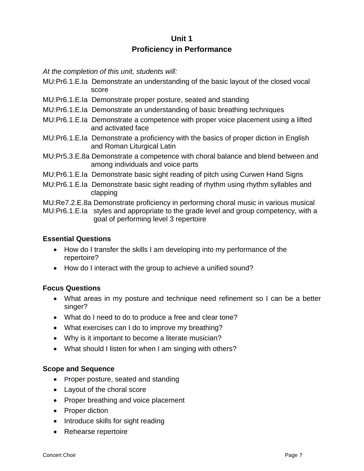# **Unit 1 Proficiency in Performance**

*At the completion of this unit, students will:*

- MU:Pr6.1.E.Ia Demonstrate an understanding of the basic layout of the closed vocal score
- MU:Pr6.1.E.Ia Demonstrate proper posture, seated and standing
- MU:Pr6.1.E.Ia Demonstrate an understanding of basic breathing techniques
- MU:Pr6.1.E.Ia Demonstrate a competence with proper voice placement using a lifted and activated face
- MU:Pr6.1.E.Ia Demonstrate a proficiency with the basics of proper diction in English and Roman Liturgical Latin
- MU:Pr5.3.E.8a Demonstrate a competence with choral balance and blend between and among individuals and voice parts
- MU:Pr6.1.E.Ia Demonstrate basic sight reading of pitch using Curwen Hand Signs
- MU:Pr6.1.E.Ia Demonstrate basic sight reading of rhythm using rhythm syllables and clapping

MU:Re7.2.E.8a Demonstrate proficiency in performing choral music in various musical

MU:Pr6.1.E.Ia styles and appropriate to the grade level and group competency, with a goal of performing level 3 repertoire

#### **Essential Questions**

- How do I transfer the skills I am developing into my performance of the repertoire?
- How do I interact with the group to achieve a unified sound?

#### **Focus Questions**

- What areas in my posture and technique need refinement so I can be a better singer?
- What do I need to do to produce a free and clear tone?
- What exercises can I do to improve my breathing?
- Why is it important to become a literate musician?
- What should I listen for when I am singing with others?

#### **Scope and Sequence**

- Proper posture, seated and standing
- Layout of the choral score
- Proper breathing and voice placement
- Proper diction
- Introduce skills for sight reading
- Rehearse repertoire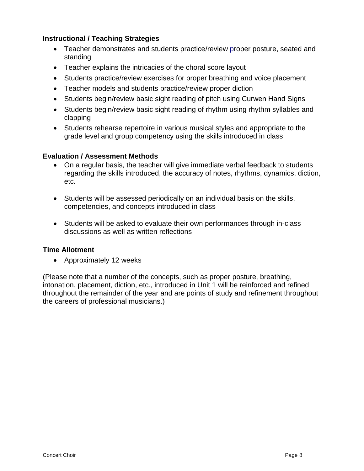#### **Instructional / Teaching Strategies**

- Teacher demonstrates and students practice/review proper posture, seated and standing
- Teacher explains the intricacies of the choral score layout
- Students practice/review exercises for proper breathing and voice placement
- Teacher models and students practice/review proper diction
- Students begin/review basic sight reading of pitch using Curwen Hand Signs
- Students begin/review basic sight reading of rhythm using rhythm syllables and clapping
- Students rehearse repertoire in various musical styles and appropriate to the grade level and group competency using the skills introduced in class

#### **Evaluation / Assessment Methods**

- On a regular basis, the teacher will give immediate verbal feedback to students regarding the skills introduced, the accuracy of notes, rhythms, dynamics, diction, etc.
- Students will be assessed periodically on an individual basis on the skills, competencies, and concepts introduced in class
- Students will be asked to evaluate their own performances through in-class discussions as well as written reflections

#### **Time Allotment**

• Approximately 12 weeks

(Please note that a number of the concepts, such as proper posture, breathing, intonation, placement, diction, etc., introduced in Unit 1 will be reinforced and refined throughout the remainder of the year and are points of study and refinement throughout the careers of professional musicians.)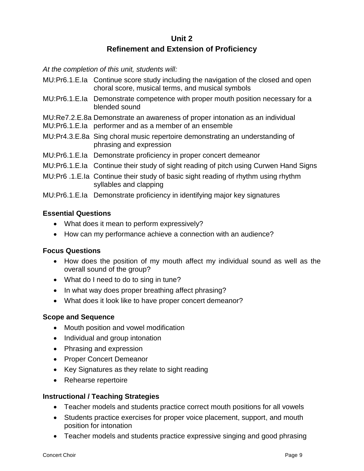# **Unit 2 Refinement and Extension of Proficiency**

*At the completion of this unit, students will:*

- MU:Pr6.1.E.Ia Continue score study including the navigation of the closed and open choral score, musical terms, and musical symbols
- MU:Pr6.1.E.Ia Demonstrate competence with proper mouth position necessary for a blended sound
- MU:Re7.2.E.8a Demonstrate an awareness of proper intonation as an individual
- MU:Pr6.1.E.Ia performer and as a member of an ensemble
- MU:Pr4.3.E.8a Sing choral music repertoire demonstrating an understanding of phrasing and expression
- MU:Pr6.1.E.Ia Demonstrate proficiency in proper concert demeanor
- MU:Pr6.1.E.Ia Continue their study of sight reading of pitch using Curwen Hand Signs
- MU:Pr6 .1.E.Ia Continue their study of basic sight reading of rhythm using rhythm syllables and clapping

MU:Pr6.1.E.Ia Demonstrate proficiency in identifying major key signatures

#### **Essential Questions**

- What does it mean to perform expressively?
- How can my performance achieve a connection with an audience?

#### **Focus Questions**

- How does the position of my mouth affect my individual sound as well as the overall sound of the group?
- What do I need to do to sing in tune?
- In what way does proper breathing affect phrasing?
- What does it look like to have proper concert demeanor?

#### **Scope and Sequence**

- Mouth position and vowel modification
- Individual and group intonation
- Phrasing and expression
- Proper Concert Demeanor
- Key Signatures as they relate to sight reading
- Rehearse repertoire

#### **Instructional / Teaching Strategies**

- Teacher models and students practice correct mouth positions for all vowels
- Students practice exercises for proper voice placement, support, and mouth position for intonation
- Teacher models and students practice expressive singing and good phrasing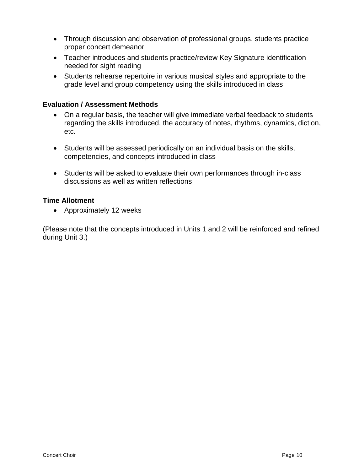- Through discussion and observation of professional groups, students practice proper concert demeanor
- Teacher introduces and students practice/review Key Signature identification needed for sight reading
- Students rehearse repertoire in various musical styles and appropriate to the grade level and group competency using the skills introduced in class

#### **Evaluation / Assessment Methods**

- On a regular basis, the teacher will give immediate verbal feedback to students regarding the skills introduced, the accuracy of notes, rhythms, dynamics, diction, etc.
- Students will be assessed periodically on an individual basis on the skills, competencies, and concepts introduced in class
- Students will be asked to evaluate their own performances through in-class discussions as well as written reflections

#### **Time Allotment**

Approximately 12 weeks

(Please note that the concepts introduced in Units 1 and 2 will be reinforced and refined during Unit 3.)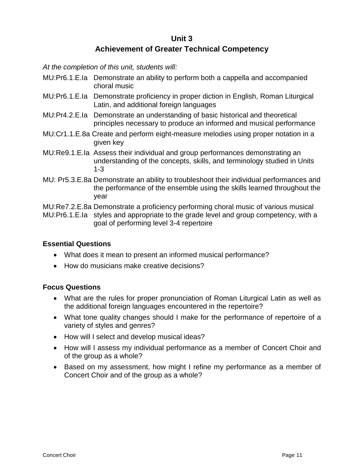#### **Unit 3 Achievement of Greater Technical Competency**

*At the completion of this unit, students will:*

- MU:Pr6.1.E.Ia Demonstrate an ability to perform both a cappella and accompanied choral music
- MU:Pr6.1.E.Ia Demonstrate proficiency in proper diction in English, Roman Liturgical Latin, and additional foreign languages
- MU:Pr4.2.E.Ia Demonstrate an understanding of basic historical and theoretical principles necessary to produce an informed and musical performance
- MU:Cr1.1.E.8a Create and perform eight-measure melodies using proper notation in a given key
- MU:Re9.1.E.Ia Assess their individual and group performances demonstrating an understanding of the concepts, skills, and terminology studied in Units 1-3
- MU: Pr5.3.E.8a Demonstrate an ability to troubleshoot their individual performances and the performance of the ensemble using the skills learned throughout the year

MU:Re7.2.E.8a Demonstrate a proficiency performing choral music of various musical MU:Pr6.1.E.Ia styles and appropriate to the grade level and group competency, with a goal of performing level 3-4 repertoire

#### **Essential Questions**

- What does it mean to present an informed musical performance?
- How do musicians make creative decisions?

#### **Focus Questions**

- What are the rules for proper pronunciation of Roman Liturgical Latin as well as the additional foreign languages encountered in the repertoire?
- What tone quality changes should I make for the performance of repertoire of a variety of styles and genres?
- How will I select and develop musical ideas?
- How will I assess my individual performance as a member of Concert Choir and of the group as a whole?
- Based on my assessment, how might I refine my performance as a member of Concert Choir and of the group as a whole?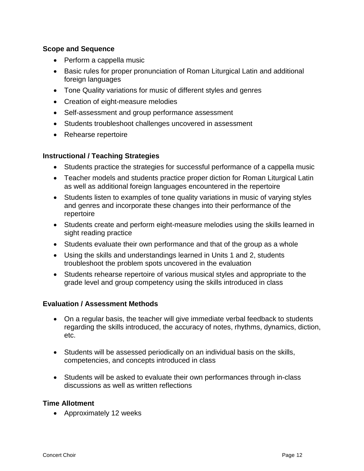#### **Scope and Sequence**

- Perform a cappella music
- Basic rules for proper pronunciation of Roman Liturgical Latin and additional foreign languages
- Tone Quality variations for music of different styles and genres
- Creation of eight-measure melodies
- Self-assessment and group performance assessment
- Students troubleshoot challenges uncovered in assessment
- Rehearse repertoire

#### **Instructional / Teaching Strategies**

- Students practice the strategies for successful performance of a cappella music
- Teacher models and students practice proper diction for Roman Liturgical Latin as well as additional foreign languages encountered in the repertoire
- Students listen to examples of tone quality variations in music of varying styles and genres and incorporate these changes into their performance of the repertoire
- Students create and perform eight-measure melodies using the skills learned in sight reading practice
- Students evaluate their own performance and that of the group as a whole
- Using the skills and understandings learned in Units 1 and 2, students troubleshoot the problem spots uncovered in the evaluation
- Students rehearse repertoire of various musical styles and appropriate to the grade level and group competency using the skills introduced in class

#### **Evaluation / Assessment Methods**

- On a regular basis, the teacher will give immediate verbal feedback to students regarding the skills introduced, the accuracy of notes, rhythms, dynamics, diction, etc.
- Students will be assessed periodically on an individual basis on the skills, competencies, and concepts introduced in class
- Students will be asked to evaluate their own performances through in-class discussions as well as written reflections

#### **Time Allotment**

Approximately 12 weeks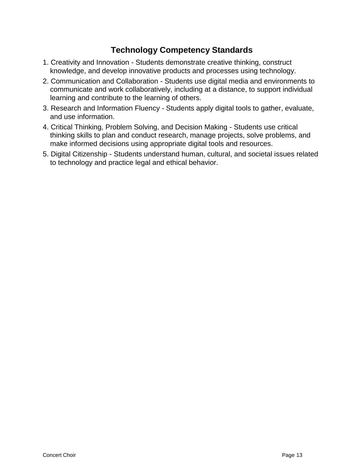# **Technology Competency Standards**

- 1. Creativity and Innovation Students demonstrate creative thinking, construct knowledge, and develop innovative products and processes using technology.
- 2. Communication and Collaboration Students use digital media and environments to communicate and work collaboratively, including at a distance, to support individual learning and contribute to the learning of others.
- 3. Research and Information Fluency Students apply digital tools to gather, evaluate, and use information.
- 4. Critical Thinking, Problem Solving, and Decision Making Students use critical thinking skills to plan and conduct research, manage projects, solve problems, and make informed decisions using appropriate digital tools and resources.
- 5. Digital Citizenship Students understand human, cultural, and societal issues related to technology and practice legal and ethical behavior.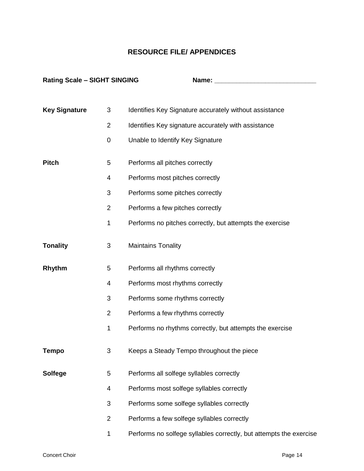### **RESOURCE FILE/ APPENDICES**

| <b>Rating Scale - SIGHT SINGING</b> |                | Name:                                                              |
|-------------------------------------|----------------|--------------------------------------------------------------------|
|                                     |                |                                                                    |
| <b>Key Signature</b>                | 3              | Identifies Key Signature accurately without assistance             |
|                                     | $\overline{2}$ | Identifies Key signature accurately with assistance                |
|                                     | $\pmb{0}$      | Unable to Identify Key Signature                                   |
| <b>Pitch</b>                        | 5              | Performs all pitches correctly                                     |
|                                     | 4              | Performs most pitches correctly                                    |
|                                     | 3              | Performs some pitches correctly                                    |
|                                     | $\overline{2}$ | Performs a few pitches correctly                                   |
|                                     | 1              | Performs no pitches correctly, but attempts the exercise           |
| <b>Tonality</b>                     | $\sqrt{3}$     | <b>Maintains Tonality</b>                                          |
| Rhythm                              | 5              | Performs all rhythms correctly                                     |
|                                     | 4              | Performs most rhythms correctly                                    |
|                                     | 3              | Performs some rhythms correctly                                    |
|                                     | $\overline{2}$ | Performs a few rhythms correctly                                   |
|                                     | 1              | Performs no rhythms correctly, but attempts the exercise           |
| <b>Tempo</b>                        | 3              | Keeps a Steady Tempo throughout the piece                          |
| <b>Solfege</b>                      | 5              | Performs all solfege syllables correctly                           |
|                                     | 4              | Performs most solfege syllables correctly                          |
|                                     | 3              | Performs some solfege syllables correctly                          |
|                                     | $\overline{2}$ | Performs a few solfege syllables correctly                         |
|                                     | 1              | Performs no solfege syllables correctly, but attempts the exercise |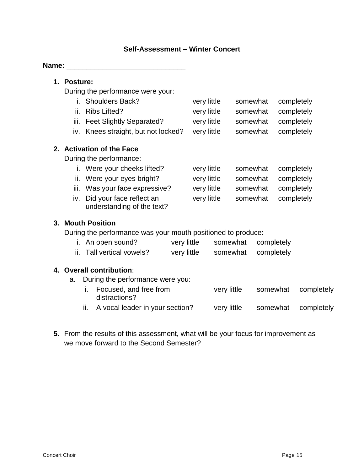#### **Self-Assessment – Winter Concert**

#### **Name:**  $\blacksquare$

#### **1. Posture:**

During the performance were your:

| i. Shoulders Back?                  | very little | somewhat completely |
|-------------------------------------|-------------|---------------------|
| ii. Ribs Lifted?                    | very little | somewhat completely |
| iii. Feet Slightly Separated?       | very little | somewhat completely |
| iv. Knees straight, but not locked? | very little | somewhat completely |

#### **2. Activation of the Face**

During the performance:

| i. Were your cheeks lifted?<br>very little | somewhat completely |  |
|--------------------------------------------|---------------------|--|
|--------------------------------------------|---------------------|--|

- ii. Were your eyes bright? very little somewhat completely
- iii. Was your face expressive? very little somewhat completely
- iv. Did your face reflect an very little somewhat completely understanding of the text?

#### **3. Mouth Position**

During the performance was your mouth positioned to produce:

| i. An open sound?         | very little | somewhat completely |
|---------------------------|-------------|---------------------|
| ii. Tall vertical vowels? | very little | somewhat completely |

# **4. Overall contribution**:

- a. During the performance were you:
	- i. Focused, and free from very little somewhat completely distractions? ii. A vocal leader in your section? very little somewhat completely
	-
- **5.** From the results of this assessment, what will be your focus for improvement as we move forward to the Second Semester?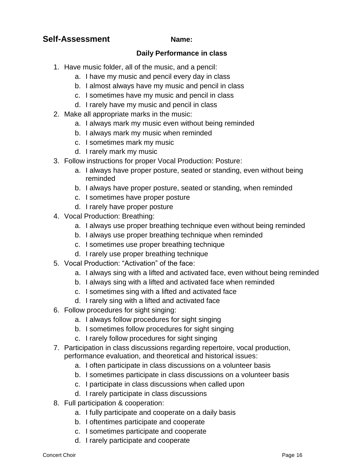# **Self-Assessment Name:**

#### **Daily Performance in class**

- 1. Have music folder, all of the music, and a pencil:
	- a. I have my music and pencil every day in class
	- b. I almost always have my music and pencil in class
	- c. I sometimes have my music and pencil in class
	- d. I rarely have my music and pencil in class
- 2. Make all appropriate marks in the music:
	- a. I always mark my music even without being reminded
	- b. I always mark my music when reminded
	- c. I sometimes mark my music
	- d. I rarely mark my music
- 3. Follow instructions for proper Vocal Production: Posture:
	- a. I always have proper posture, seated or standing, even without being reminded
	- b. I always have proper posture, seated or standing, when reminded
	- c. I sometimes have proper posture
	- d. I rarely have proper posture
- 4. Vocal Production: Breathing:
	- a. I always use proper breathing technique even without being reminded
	- b. I always use proper breathing technique when reminded
	- c. I sometimes use proper breathing technique
	- d. I rarely use proper breathing technique
- 5. Vocal Production: "Activation" of the face:
	- a. I always sing with a lifted and activated face, even without being reminded
	- b. I always sing with a lifted and activated face when reminded
	- c. I sometimes sing with a lifted and activated face
	- d. I rarely sing with a lifted and activated face
- 6. Follow procedures for sight singing:
	- a. I always follow procedures for sight singing
	- b. I sometimes follow procedures for sight singing
	- c. I rarely follow procedures for sight singing
- 7. Participation in class discussions regarding repertoire, vocal production, performance evaluation, and theoretical and historical issues:
	- a. I often participate in class discussions on a volunteer basis
	- b. I sometimes participate in class discussions on a volunteer basis
	- c. I participate in class discussions when called upon
	- d. I rarely participate in class discussions
- 8. Full participation & cooperation:
	- a. I fully participate and cooperate on a daily basis
	- b. I oftentimes participate and cooperate
	- c. I sometimes participate and cooperate
	- d. I rarely participate and cooperate